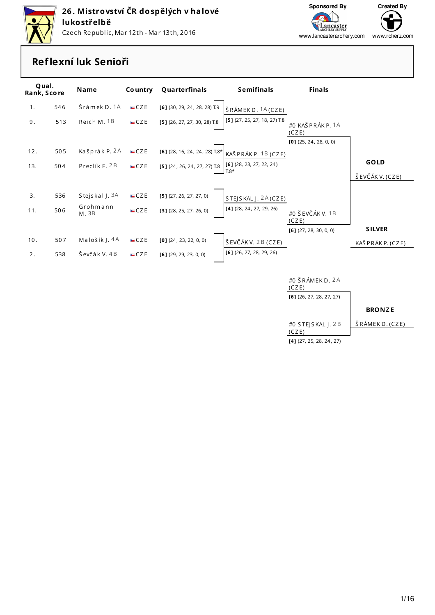

Czech Republic, Mar 12th - Mar 13th, 2016



www.lancasterarchery.com www.rcherz.com

#### Reflexní luk Senioři

| Qual.<br>Rank, Score |     | <b>Name</b>       | <b>Country</b> | Quarterfinals                                          | <b>Semifinals</b>            | <b>Finals</b>              |                   |
|----------------------|-----|-------------------|----------------|--------------------------------------------------------|------------------------------|----------------------------|-------------------|
| 1 <sub>1</sub>       | 546 | Šrámek D. 1A      | CZE            | $[6]$ (30, 29, 24, 28, 28) T.9                         | ŠRÁMEKD. 1A (CZE)            |                            |                   |
| 9.                   | 513 | Reich M. 1B       | CZE            | $[5]$ (26, 27, 27, 30, 28) T.8                         | [5] (27, 25, 27, 18, 27) T.8 | #0 KAŠ PRÁK P. 1A<br>(CZE) |                   |
|                      |     |                   |                |                                                        |                              | $[0]$ (25, 24, 28, 0, 0)   |                   |
| 12.                  | 505 | Kašprák P. 2A     | CZE            | $[6]$ (28, 16, 24, 24, 28) T.8*                        | KAŠ PRÁK P. 1B (CZE)         |                            |                   |
| 13.                  | 504 | Preclík F. 2B     | CZE            | [5] (24, 26, 24, 27, 27) 1.8 [[6] (28, 23, 27, 22, 24) |                              |                            | <b>GOLD</b>       |
|                      |     |                   |                |                                                        | $T.8*$                       |                            | ŠEVČÁK V. (CZE)   |
|                      |     |                   |                |                                                        |                              |                            |                   |
| 3.                   | 536 | Stejskal J. 3A    | CZE            | $[5]$ (27, 26, 27, 27, 0)                              | $STE$ S KAL $I. 2A$ (CZE)    |                            |                   |
| 11.                  | 506 | Grohmann<br>M. 3B | CZE            | $[3]$ (28, 25, 27, 26, 0)                              | $[4]$ (28, 24, 27, 29, 26)   | #0 ŠEVČÁK V. 1B<br>(CZE)   |                   |
|                      |     |                   |                |                                                        |                              | $[6]$ (27, 28, 30, 0, 0)   | <b>SILVER</b>     |
| 10.                  | 507 | Malošík J. 4A     | CZE            | $[0]$ (24, 23, 22, 0, 0)                               | ŠEVČÁK V. 2B (CZE)           |                            | KAŠ PRÁK P. (CZE) |
| 2.                   | 538 | Ševčák V. 4B      | CZE            | $[6]$ (29, 29, 23, 0, 0)                               | $[6]$ (26, 27, 28, 29, 26)   |                            |                   |

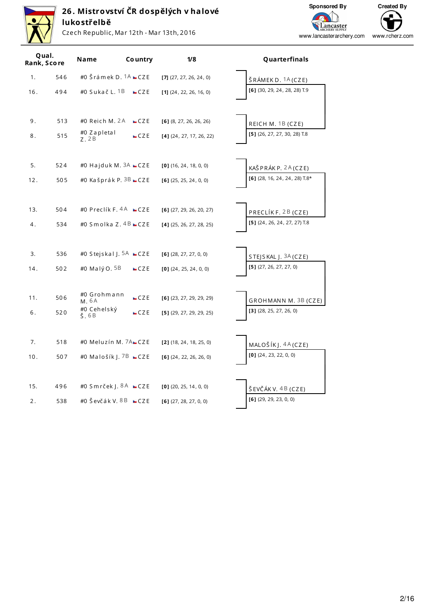

Czech Republic, Mar 12th - Mar 13th, 2016

Sponsored By Created By G  $\overline{\phantom{a}}$ Lancaster www.lancasterarchery.com www.rcherz.com

|     | Qual.<br>Rank, Score | Name                                      | <b>Country</b> | 1/8                        | Quarterfinals                   |
|-----|----------------------|-------------------------------------------|----------------|----------------------------|---------------------------------|
| 1.  | 546                  | #0 Šrámek D. $1A$ $CZE$                   |                | $[7]$ (27, 27, 26, 24, 0)  | ŠRÁMEKD. <sup>1</sup> A (CZE)   |
| 16. | 494                  | #0 Sukač L. 1B                            | CZE            | $[1]$ (24, 22, 26, 16, 0)  | $[6]$ (30, 29, 24, 28, 28) T.9  |
| 9.  | 513                  | #0 Reich M. 2A                            | CZE            | $[6]$ (8, 27, 26, 26, 26)  | REICH M. 1B (CZE)               |
| 8.  | 515                  | #0 Zapletal<br>Z. 2B                      | CZE            | $[4]$ (24, 27, 17, 26, 22) | [5] (26, 27, 27, 30, 28) T.8    |
| 5.  | 524                  | #0 Hajduk M. $3A$ $CZE$                   |                | $[0]$ (16, 24, 18, 0, 0)   | KAŠ PRÁK P. 2A (CZE)            |
| 12. | 505                  | #0 Kašprák P. 3B ■ CZE                    |                | $[6]$ (25, 25, 24, 0, 0)   | [6] (28, 16, 24, 24, 28) $T.8*$ |
| 13. | 504                  | #0 Preclík F. $4A$ $\blacksquare$ CZE     |                | $[6]$ (27, 29, 26, 20, 27) | PRECLÍKF. 2B (CZE)              |
| 4.  | 534                  | #0 Smolka Z. 4B CZE                       |                | $[4]$ (25, 26, 27, 28, 25) | $[5]$ (24, 26, 24, 27, 27) T.8  |
| 3.  | 536                  | #0 Stejskal   5A $\square$ CZE            |                | $[6]$ (28, 27, 27, 0, 0)   | STEJSKAL J. $3A$ (CZE)          |
| 14. | 502                  | #0 Malý O. 5B                             | CZE            | $[0]$ (24, 25, 24, 0, 0)   | $[5]$ (27, 26, 27, 27, 0)       |
| 11. | 506                  | #0 Grohmann<br>M. 6A                      | CZE            | $[6]$ (23, 27, 29, 29, 29) | GROHMANN M. 3B (CZE)            |
| 6.  | 520                  | #0 Cehelský<br>$\check{\mathsf{S}}$ . 6 B | CZE            | $[5]$ (29, 27, 29, 29, 25) | $[3]$ (28, 25, 27, 26, 0)       |
| 7.  | 518                  | #0 Meluzín M. 7ALCZE                      |                | $[2]$ (18, 24, 18, 25, 0)  | MALOŠÍKJ. $4A(CZE)$             |
| 10. | 507                  | #0 Malošík J. 7B CZE                      |                | $[6]$ (24, 22, 26, 26, 0)  | $[0]$ (24, 23, 22, 0, 0)        |
| 15. | 496                  | #0 Smrček J. 8A <b>= CZE</b>              |                | $[0]$ (20, 25, 14, 0, 0)   | ŠEVČÁK V. 4B (CZE)              |
| 2.  | 538                  | #0 Ševčák V. 8 B $\blacksquare$ CZE       |                | $[6]$ (27, 28, 27, 0, 0)   | $[6]$ (29, 29, 23, 0, 0)        |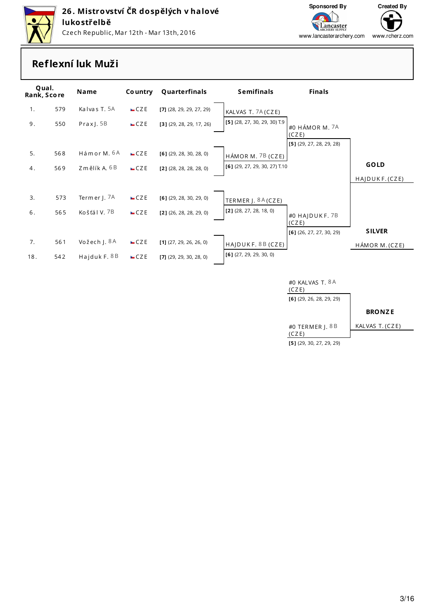



www.lancasterarchery.com www.rcherz.com

### Reflexní luk Muži

| Qual.<br>Rank, Score |     | Name           | <b>Country</b> | Quarterfinals              | <b>Semifinals</b>               | <b>Finals</b>              |                |
|----------------------|-----|----------------|----------------|----------------------------|---------------------------------|----------------------------|----------------|
| 1.                   | 579 | Kalvas T. 5A   | CZE            | $[7]$ (28, 29, 29, 27, 29) | KALVAS T. 7A (CZE)              |                            |                |
| 9.                   | 550 | Prax J. $5B$   | CZE            | $[3]$ (29, 28, 29, 17, 26) | [5] (28, 27, 30, 29, 30) T.9    | #0 HÁMOR M. 7A<br>(CZE)    |                |
|                      |     |                |                |                            |                                 | $[5]$ (29, 27, 28, 29, 28) |                |
| 5.                   | 568 | Hámor M. 6A    | CZE            | $[6]$ (29, 28, 30, 28, 0)  | $H\acute{A}MOR M.$ 7B (CZE)     |                            |                |
| 4.                   | 569 | Změlík A. 6B   | CZE            | $[2]$ (28, 28, 28, 28, 0)  | $[6]$ (29, 27, 29, 30, 27) T.10 |                            | <b>GOLD</b>    |
|                      |     |                |                |                            |                                 |                            | HAJDUKF. (CZE) |
|                      |     |                |                |                            |                                 |                            |                |
| 3.                   | 573 | Termer J. 7A   | CZE            | $[6]$ (29, 28, 30, 29, 0)  | TERMER J. 8A (CZE)              |                            |                |
| 6.                   | 565 | Košťál V. 7B   | CZE            | $[2]$ (26, 28, 28, 29, 0)  | $[2]$ (28, 27, 28, 18, 0)       | #0 HAJDUKF.7B              |                |
|                      |     |                |                |                            |                                 | (CZE)                      |                |
|                      |     |                |                |                            |                                 | $[6]$ (26, 27, 27, 30, 29) | <b>SILVER</b>  |
| 7.                   | 561 | Vožech J. 8A   | CZE            | $[1]$ (27, 29, 26, 26, 0)  | HAJDUKF. 8B (CZE)               |                            | HÁMOR M. (CZE) |
| 18.                  | 542 | Hajduk F. $8B$ | CZE            | $[7]$ (29, 29, 30, 28, 0)  | $[6]$ (27, 29, 29, 30, 0)       |                            |                |
|                      |     |                |                |                            |                                 |                            |                |
|                      |     |                |                |                            |                                 | #0 KALVAS T. 8A<br>(CZE)   |                |



 $[5]$  (29, 30, 27, 29, 29)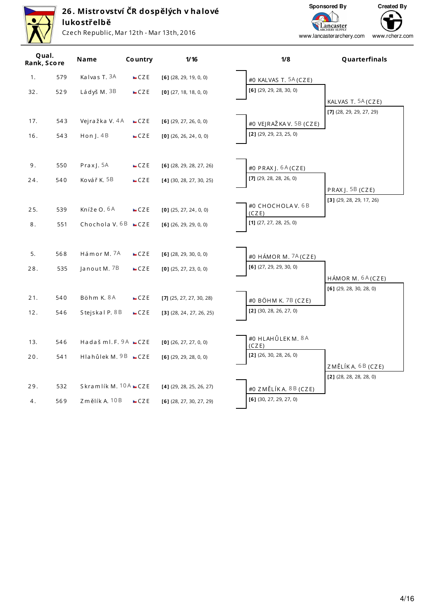

Czech Republic, Mar 12th - Mar 13th, 2016

Sponsored By



Lancaster www.lancasterarchery.com www.rcherz.com

| Qual.<br>Rank, Score |     | Name                    | <b>Country</b> | 1/16                       | 1/8                                | Quarterfinals              |
|----------------------|-----|-------------------------|----------------|----------------------------|------------------------------------|----------------------------|
| 1.                   | 579 | Kalvas T. 3A            | CZE            | $[6]$ (28, 29, 19, 0, 0)   | #0 KALVAS T. 5A (CZE)              |                            |
| 32.                  | 529 | Ládyš M. 3B             | CZE            | $[0]$ (27, 18, 18, 0, 0)   | $[6]$ (29, 29, 28, 30, 0)          |                            |
|                      |     |                         |                |                            |                                    | KALVAS T. 5A (CZE)         |
|                      |     |                         |                |                            |                                    | $[7]$ (28, 29, 29, 27, 29) |
| 17.                  | 543 | Vejražka V. 4A          | CZE            | $[6]$ (29, 27, 26, 0, 0)   | #0 VEJRAŽKA V. 5B (CZE)            |                            |
| 16.                  | 543 | Hon $J.4B$              | CZE            | $[0]$ (26, 26, 24, 0, 0)   | $[2]$ (29, 29, 23, 25, 0)          |                            |
|                      |     |                         |                |                            |                                    |                            |
| 9.                   | 550 | Prax $\vert$ . 5A       | CZE            | $[6]$ (28, 29, 28, 27, 26) | #0 $PRAX$ J. $6A(CZE)$             |                            |
| 24.                  | 540 | Kovář K. 5B             | CZE            | $[4]$ (30, 28, 27, 30, 25) | $[7]$ (29, 28, 28, 26, 0)          |                            |
|                      |     |                         |                |                            |                                    | PRAXJ. 5B (CZE)            |
| 25.                  | 539 | Kníže O. 6A             | CZE            | $[0]$ (25, 27, 24, 0, 0)   | #0 CHOCHOLAV. 6B                   | $[3]$ (29, 28, 29, 17, 26) |
|                      |     |                         |                |                            | (CZE)<br>$[1]$ (27, 27, 28, 25, 0) |                            |
| 8.                   | 551 | Chochola V. $6B$ $CZE$  |                | $[6]$ (26, 29, 29, 0, 0)   |                                    |                            |
|                      |     |                         |                |                            |                                    |                            |
| 5.                   | 568 | Hámor M. 7A             | CZE            | $[6]$ (28, 29, 30, 0, 0)   | #0 HÁMOR M. 7A (CZE)               |                            |
| 28.                  | 535 | Janout M. 7B            | CZE            | $[0]$ (25, 27, 23, 0, 0)   | $[6]$ (27, 29, 29, 30, 0)          |                            |
|                      |     |                         |                |                            |                                    | HÁMOR M. 6A (CZE)          |
|                      |     |                         |                |                            |                                    | $[6]$ (29, 28, 30, 28, 0)  |
| 21.                  | 540 | Böhm K. 8A              | CZE            | $[7]$ (25, 27, 27, 30, 28) | #0 BÖHM K. 7B (CZE)                |                            |
| 12.                  | 546 | Stejskal P. 8B          | CZE            | $[3]$ (28, 24, 27, 26, 25) | $[2]$ (30, 28, 26, 27, 0)          |                            |
|                      |     |                         |                |                            |                                    |                            |
| 13.                  | 546 | Hadaš ml.F. 9A CZE      |                | $[0]$ (26, 27, 27, 0, 0)   | #0 HLAHŮLEKM.8A<br>(CZE)           |                            |
| 20.                  | 541 | Hlahůlek M. 9B CZE      |                | $[6]$ (29, 29, 28, 0, 0)   | $[2]$ (26, 30, 28, 26, 0)          |                            |
|                      |     |                         |                |                            |                                    | ZMĚLÍKA. 6B (CZE)          |
|                      |     |                         |                |                            |                                    | $[2]$ (28, 28, 28, 28, 0)  |
| 29.                  | 532 | Skramlík M. $10A$ $CZE$ |                | $[4]$ (29, 28, 25, 26, 27) | #0 ZMĚLÍKA. $8B$ (CZE)             |                            |
| 4.                   | 569 | Změlík A. 10B           | CZE            | $[6]$ (28, 27, 30, 27, 29) | $[6]$ (30, 27, 29, 27, 0)          |                            |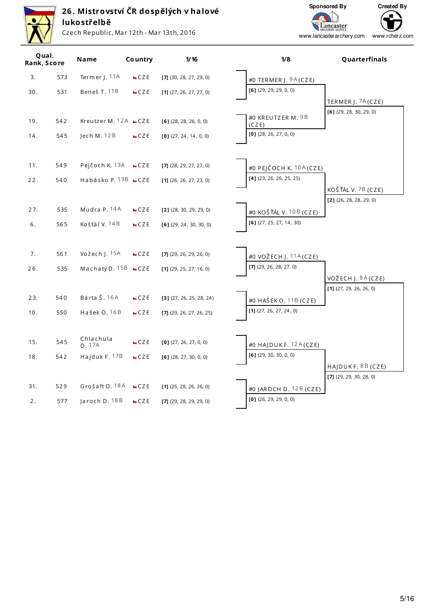

Czech Republic, Mar 12th - Mar 13th, 2016

Sponsored By

Lancaster<br>ARCHERY SUPPLY



| Qual.<br>Rank, Score |     | Name                        | <b>Country</b> | $1/16$                     | 1/8                                                | Quarterfinals                                  |
|----------------------|-----|-----------------------------|----------------|----------------------------|----------------------------------------------------|------------------------------------------------|
| 3.                   | 573 | Termer J. 11A               | CZE            | [7] (30, 28, 27, 29, 0)    | #0 TERMER J. $9A(CZE)$                             |                                                |
| 30.                  | 531 | Beneš T. 11B                | CZE            | $[1]$ (27, 26, 27, 27, 0)  | $[6]$ (29, 29, 29, 0, 0)                           |                                                |
|                      |     |                             |                |                            |                                                    | TERMER J. 7A (CZE)                             |
|                      |     |                             |                |                            | #0 KREUTZER M. 9B                                  | $[6]$ (29, 28, 30, 29, 0)                      |
| 19.                  | 542 | Kreutzer M. $12A$ $CZE$     |                | $[6]$ (28, 28, 26, 0, 0)   | (CZE)                                              |                                                |
| 14.                  | 545 | Jech M. 12B                 | CZE            | $[0]$ (27, 24, 14, 0, 0)   | $[0]$ (28, 26, 27, 0, 0)                           |                                                |
|                      |     |                             |                |                            |                                                    |                                                |
| 11.                  | 549 | Pejčoch K. 13A $CZE$        |                | $[7]$ (28, 29, 27, 27, 0)  | #0 PEJČOCH K. 10A (CZE)                            |                                                |
| 22.                  | 540 | Habásko P. 13B <b>=</b> CZE |                | $[1]$ (26, 26, 27, 23, 0)  | $[4]$ (23, 26, 26, 25, 25)                         |                                                |
|                      |     |                             |                |                            |                                                    | KOŠŤÁL V. 7B (CZE)                             |
|                      |     |                             |                |                            |                                                    | $[2]$ (26, 28, 28, 29, 0)                      |
| 27.                  | 535 | Mudra P. 14A                | CZE            | $[2]$ (28, 30, 29, 29, 0)  | #0 KOŠŤÁL V. 10 B (CZE)                            |                                                |
| 6.                   | 565 | Košťál V. 14B               | CZE            | $[6]$ (29, 24, 30, 30, 0)  | $[6]$ (27, 25, 27, 14, 30)                         |                                                |
|                      |     |                             |                |                            |                                                    |                                                |
| 7.                   | 561 | Vožech J. 15A               | CZE            | $[7]$ (29, 26, 29, 26, 0)  | #0 VOŽECH J. $11A(CZE)$                            |                                                |
| 26.                  | 535 | Machatý D. 15B CZE          |                | $[1]$ (29, 25, 27, 16, 0)  | [7] (29, 26, 28, 27, 0)                            |                                                |
|                      |     |                             |                |                            |                                                    | VOŽECH J. 8A (CZE)                             |
|                      |     |                             |                |                            |                                                    | $[1]$ (27, 29, 26, 26, 0)                      |
| 23.                  | 540 | Bárta Š. 16A                | CZE            | $[3]$ (27, 26, 25, 28, 24) | #0 HAŠEK O. 11B (CZE)                              |                                                |
| 10.                  | 550 | Hašek O. 16B                | CZE            | $[7]$ (29, 26, 27, 26, 25) | $[1]$ (27, 26, 27, 24, 0)                          |                                                |
|                      |     |                             |                |                            |                                                    |                                                |
| 15.                  | 545 | Chlachula                   | CZE            | $[0]$ (27, 26, 27, 0, 0)   |                                                    |                                                |
|                      |     | D. 17A                      |                |                            | #0 HAJDUKF. $12A(CZE)$<br>$[6]$ (29, 30, 30, 0, 0) |                                                |
| 18.                  | 542 | Hajduk F. 17B               | CZE            | $[6]$ (28, 27, 30, 0, 0)   |                                                    |                                                |
|                      |     |                             |                |                            |                                                    | HAJDUKF. 8B (CZE)<br>$[7]$ (29, 29, 30, 28, 0) |
| 31.                  | 529 | Grošaft O. 18A              | CZE            | $[1]$ (25, 28, 26, 26, 0)  | #0 JAROCH D. $12B$ (CZE)                           |                                                |
| 2.                   | 577 | Jaroch D. 18B               | CZE            | $[7]$ (29, 28, 29, 29, 0)  | $[0]$ (26, 29, 29, 0, 0)                           |                                                |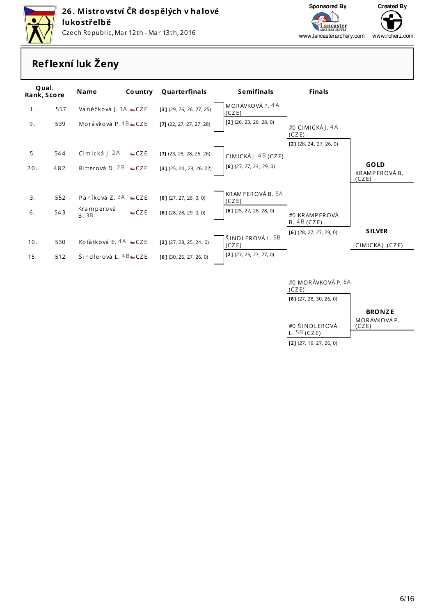



www.rcherz.com www.lancasterarchery.com

### **Reflexní luk Ženy**

| Qual.<br>Rank, Score |     | <b>Name</b>                    | <b>Country</b> | Quarterfinals              | <b>Semifinals</b>         | <b>Finals</b>              |                                      |
|----------------------|-----|--------------------------------|----------------|----------------------------|---------------------------|----------------------------|--------------------------------------|
| 1.                   | 557 | Vaněčková J. 1A <b>ECZE</b>    |                | $[3]$ (29, 26, 26, 27, 25) | MORÁVKOVÁ P. 4A<br>(CZE)  |                            |                                      |
| 9.                   | 539 | Morávková P. $1B$ $\equiv$ CZE |                | $[7]$ (22, 27, 27, 27, 28) | $[2]$ (26, 23, 26, 28, 0) | #0 CIMICKÁJ. 4A<br>(CZE)   |                                      |
|                      |     |                                |                |                            |                           | $[2]$ (28, 24, 27, 26, 0)  |                                      |
| 5.                   | 544 | Cimická J. 2A                  | CZE            | $[7]$ (23, 25, 28, 26, 26) | CIMICKÁJ. 4 B (CZE)       |                            |                                      |
| 20.                  | 482 | Ritterová D. 2B $CZE$          |                | $[3]$ (25, 24, 23, 26, 22) | $[6]$ (27, 27, 24, 29, 0) |                            | <b>GOLD</b><br>KRAMPEROVÁB.<br>(CZE) |
|                      |     |                                |                |                            |                           |                            |                                      |
| 3.                   | 552 | Páníková Z. $3A$ $CZE$         |                | $[0]$ (27, 27, 26, 0, 0)   | KRAMPEROVÁB. 5A<br>(CZE)  |                            |                                      |
| 6.                   | 543 | Kramperová<br><b>B.3B</b>      | CZE            | $[6]$ (28, 28, 29, 0, 0)   | $[6]$ (25, 27, 28, 28, 0) | #0 KRAMPEROVÁ<br>B.4B(CZE) |                                      |
|                      |     |                                |                |                            |                           | $[6]$ (28, 27, 27, 29, 0)  | <b>SILVER</b>                        |
| 10.                  | 530 | Koťátková E. 4A <b>ECZE</b>    |                | $[2]$ (27, 28, 25, 24, 0)  | ŠINDLEROVÁL. 5B<br>(CZE)  |                            | CIMICKÁJ. (CZE)                      |
| 15.                  | 512 | Šindlerová L. $4B$ $CZE$       |                | $[6]$ (30, 26, 27, 26, 0)  | $[2]$ (27, 25, 27, 27, 0) |                            |                                      |
|                      |     |                                |                |                            |                           |                            |                                      |
|                      |     |                                |                |                            |                           | #0 MORÁVKOVÁ P. 5A         |                                      |

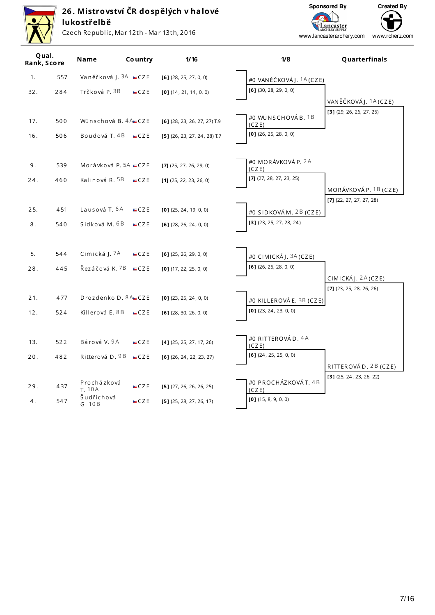Sponsored By

Lancaster<br>ARCHERY SUPPLY



# 26. Mistrovství ČR dospělých v halové<br>lukostřelbě

Czech Republic, Mar 12th - Mar 13th, 2016



| Qual.<br>Rank, Score |     | Name                            | <b>Country</b> | 1/16                           | 1/8                                               | Quarterfinals                                      |
|----------------------|-----|---------------------------------|----------------|--------------------------------|---------------------------------------------------|----------------------------------------------------|
| 1.                   | 557 | Vaněčková J. 3A <b>=</b> CZE    |                | $[6]$ (28, 25, 27, 0, 0)       | #0 VANĚČKOVÁJ. <sup>1</sup> A (CZE)               |                                                    |
| 32.                  | 284 | Trčková P. 3B                   | CZE            | $[0]$ (14, 21, 14, 0, 0)       | $[6]$ (30, 28, 29, 0, 0)                          |                                                    |
|                      |     |                                 |                |                                | #0 WÜNSCHOVÁB. 1B                                 | VANĚČKOVÁJ. 1A (CZE)<br>$[3]$ (29, 26, 26, 27, 25) |
| 17.                  | 500 | Wünschová B. 4A CZE             |                | $[6]$ (28, 23, 26, 27, 27) T.9 | (CZE)                                             |                                                    |
| 16.                  | 506 | Boudová T. $4B$ $CZE$           |                | $[5]$ (26, 23, 27, 24, 28) T.7 | $[0]$ (26, 25, 28, 0, 0)                          |                                                    |
| 9.                   | 539 | Morávková P. <sup>5A</sup> ⊷CZE |                | $[7]$ (25, 27, 26, 29, 0)      | #0 MORÁVKOVÁ P. 2A<br>(CZE)                       |                                                    |
| 24.                  | 460 | Kalinová R. <sup>5B</sup>       | CZE            | $[1]$ (25, 22, 23, 26, 0)      | [7] $(27, 28, 27, 23, 25)$                        |                                                    |
|                      |     |                                 |                |                                |                                                   | MORÁVKOVÁ P. 1B (CZE)                              |
| 25.                  | 451 | Lausová T. 6A                   | CZE            | $[0]$ (25, 24, 19, 0, 0)       | #0 SIDKOVÁM. 2B (CZE)                             | $[7]$ (22, 27, 27, 27, 28)                         |
| 8.                   | 540 | Sidková M. 6B                   | CZE            | $[6]$ (28, 26, 24, 0, 0)       | $[3]$ (23, 25, 27, 28, 24)                        |                                                    |
| 5.                   | 544 | Cimická J. 7A                   | CZE            | $[6]$ (25, 26, 29, 0, 0)       |                                                   |                                                    |
|                      |     |                                 |                |                                | #0 CIMICKÁJ. 3A (CZE)<br>$[6]$ (26, 25, 28, 0, 0) |                                                    |
| 28.                  | 445 | Řezáčová K. <sup>7B</sup> – CZE |                | $[0]$ (17, 22, 25, 0, 0)       |                                                   | CIMICKÁJ. 2A (CZE)                                 |
|                      |     |                                 |                |                                |                                                   | $[7]$ (23, 25, 28, 26, 26)                         |
| 21.                  | 477 | Drozdenko D. 8A CZE             |                | $[0]$ (23, 25, 24, 0, 0)       | #0 KILLEROVÁE. 3B (CZE)                           |                                                    |
| 12.                  | 524 | Killerová E. 8 B                | CZE            | $[6]$ (28, 30, 26, 0, 0)       | $[0]$ (23, 24, 23, 0, 0)                          |                                                    |
|                      |     |                                 |                |                                | #0 RITTEROVÁD. 4A                                 |                                                    |
| 13.                  | 522 | Bárová V. 9A                    | CZE            | $[4]$ (25, 25, 27, 17, 26)     | (CZE)                                             |                                                    |
| 20.                  | 482 | Ritterová D. 9B <b>■CZE</b>     |                | $[6]$ (26, 24, 22, 23, 27)     | $[6]$ (24, 25, 25, 0, 0)                          |                                                    |
|                      |     |                                 |                |                                |                                                   | RITTEROVÁD. 2B (CZE)<br>$[3]$ (25, 24, 23, 26, 22) |
| 29.                  | 437 | Procházková<br><b>T. 10A</b>    | CZE            | $[5]$ (27, 26, 26, 26, 25)     | #0 PROCHÁZKOVÁT. 4B<br>(CZE)                      |                                                    |
| 4.                   | 547 | Šudřichová<br>G.10B             | CZE            | $[5]$ (25, 28, 27, 26, 17)     | $[0]$ (15, 8, 9, 0, 0)                            |                                                    |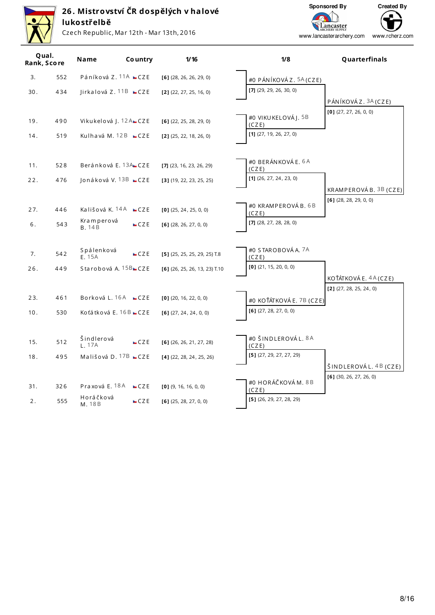

Czech Republic, Mar 12th - Mar 13th, 2016

Sponsored By

Lancaster<br>ARCHERY SUPPLY



| Qual.<br>Rank, Score |     | <b>Name</b>                            | <b>Country</b> | 1/16                            | 1/8                          | Quarterfinals                                    |
|----------------------|-----|----------------------------------------|----------------|---------------------------------|------------------------------|--------------------------------------------------|
| 3.                   | 552 | Páníková Z. 11A <b>■</b> CZE           |                | $[6]$ (28, 26, 26, 29, 0)       | #0 PÁNÍKOVÁZ. 5A (CZE)       |                                                  |
| 30.                  | 434 | $\text{Iirkalová Z.}$ 11B $\text{CZE}$ |                | $[2]$ (22, 27, 25, 16, 0)       | $[7]$ (29, 29, 26, 30, 0)    |                                                  |
|                      |     |                                        |                |                                 |                              | PÁNÍKOVÁ Z. 3A (CZE)<br>$[0]$ (27, 27, 26, 0, 0) |
| 19.                  | 490 | Vikukelová J. 12 A CZE                 |                | $[6]$ (22, 25, 28, 29, 0)       | #0 VIKU KELOVÁJ. 5B<br>(CZE) |                                                  |
| 14.                  | 519 | Kulhavá M. 12B <b>ECZE</b>             |                | $[2]$ (25, 22, 18, 26, 0)       | $[1]$ (27, 19, 26, 27, 0)    |                                                  |
| 11.                  | 528 | Beránková E. <sup>13A</sup> CZE        |                | $[7]$ (23, 16, 23, 26, 29)      | #0 BERÁNKOVÁE. 6A<br>(CZE)   |                                                  |
| 22.                  | 476 | Jonáková V. 13B <b>■CZE</b>            |                | $[3]$ (19, 22, 23, 25, 25)      | [1] $(26, 27, 24, 23, 0)$    |                                                  |
|                      |     |                                        |                |                                 |                              | KRAMPEROVÁB. 3B (CZE)                            |
| 27.                  | 446 | Kališová K. 14A <b>L</b> CZE           |                | $[0]$ (25, 24, 25, 0, 0)        | #0 KRAMPEROVÁB. 6B<br>(CZE)  | $[6]$ (28, 28, 29, 0, 0)                         |
| 6.                   | 543 | Kramperová<br><b>B.</b> 14B            | CZE            | $[6]$ (28, 26, 27, 0, 0)        | $[7]$ (28, 27, 28, 28, 0)    |                                                  |
| 7.                   | 542 | Spálenková<br>E. 15A                   | CZE            | $[5]$ (25, 25, 25, 29, 25) T.8  | #0 STAROBOVÁ A. 7A<br>(CZE)  |                                                  |
| 26.                  | 449 | Starobová A. 15B CZE                   |                | $[6]$ (26, 25, 26, 13, 23) T.10 | $[0]$ (21, 15, 20, 0, 0)     |                                                  |
|                      |     |                                        |                |                                 |                              | KOŤÁTKOVÁ E. 4A (CZE)                            |
| 23.                  | 461 | Borková L. 16A <b>ECZE</b>             |                | $[0]$ (20, 16, 22, 0, 0)        | #0 KOŤÁTKOVÁ E. 7B (CZE)     | $[2]$ (27, 28, 25, 24, 0)                        |
| 10.                  | 530 | Koťátková E. 16B ■ CZE                 |                | $[6]$ (27, 24, 24, 0, 0)        | $[6]$ (27, 28, 27, 0, 0)     |                                                  |
| 15.                  | 512 | Šindlerová<br>L. 17A                   | CZE            | $[6]$ (26, 26, 21, 27, 28)      | #0 ŠINDLEROVÁL. 8A<br>(CZE)  |                                                  |
| 18.                  | 495 | Mališová D. $17B$ $CZE$                |                | $[4]$ (22, 28, 24, 25, 26)      | $[5]$ (27, 29, 27, 27, 29)   |                                                  |
|                      |     |                                        |                |                                 |                              | ŠINDLEROVÁL. 4B (CZE)                            |
| 31.                  | 326 | Praxová E. 18A <b>ECZE</b>             |                | $[0]$ (9, 16, 16, 0, 0)         | #0 HORÁČKOVÁM. 8B<br>(CZE)   | $[6]$ (30, 26, 27, 26, 0)                        |
| 2.                   | 555 | Horáčková<br>M. 18B                    | CZE            | $[6]$ (25, 28, 27, 0, 0)        | $[5]$ (26, 29, 27, 28, 29)   |                                                  |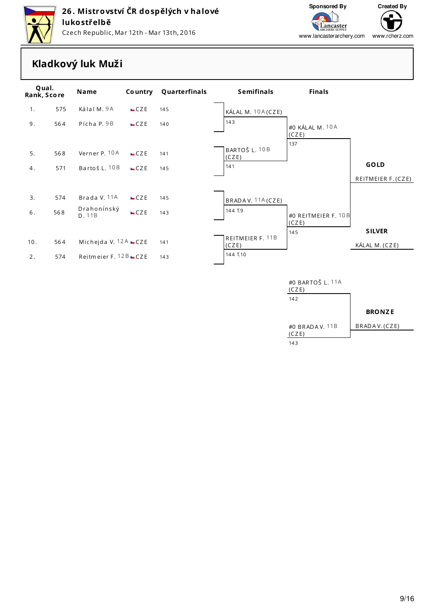



www.rcherz.com www.lancasterarchery.com

### **Kladkový luk Muži**

| Qual.<br>Rank, Score |     | Name                                | <b>Country</b> | Quarterfinals | <b>Semifinals</b>             | <b>Finals</b>                |                    |
|----------------------|-----|-------------------------------------|----------------|---------------|-------------------------------|------------------------------|--------------------|
| 1.                   | 575 | Kálal M. 9A                         | CZE            | 145           | KÁLAL M. 10A (CZE)            |                              |                    |
| 9.                   | 564 | Pícha P. 9B                         | CZE            | 140           | 143                           | #0 KÁLAL M. 10A<br>(CZE)     |                    |
| 5.                   | 568 | Verner P. 10A                       | CZE            | 141           | BARTOŠ L. 10B<br>(CZE)<br>141 | 137                          | <b>GOLD</b>        |
| 4.                   | 571 | Bartoš L. 10B                       | CZE            | 145           |                               |                              | REITMEIER F. (CZE) |
| 3.                   | 574 | Brada V. 11A                        | CZE            | 145           | BRADA V. 11A (CZE)            |                              |                    |
| 6.                   | 568 | Drahonínský<br>D. 11B               | CZE            | 143           | 144 T.9                       | #0 REITMEIER F. 10B<br>(CZE) |                    |
|                      |     |                                     |                |               | REITMEIER F. 11B              | 145                          | <b>SILVER</b>      |
| 10.                  | 564 | Michejda V. $12A$ $\sqsubseteq$ CZE |                | 141           | (CZE)                         |                              | KÁLAL M. (CZE)     |
| 2.                   | 574 | Reitmeier F. $12B$ $CZE$            |                | 143           | 144 T.10                      |                              |                    |
|                      |     |                                     |                |               |                               | #0 BARTOŠ L. 11A<br>(CZE)    |                    |

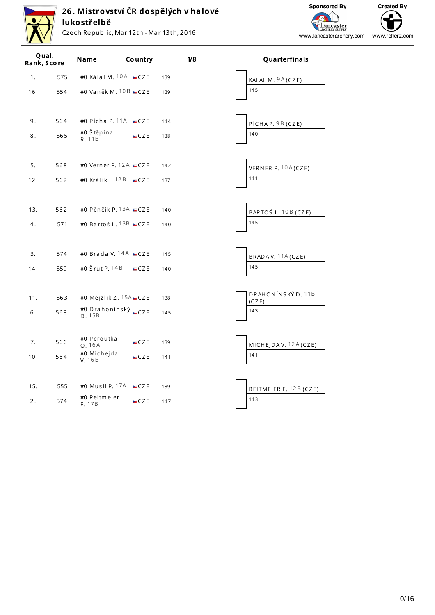

Czech Republic, Mar 12th - Mar 13th, 2016



| Qual.<br>Rank, Score |     | Name                   | <b>Country</b>                      |     | 1/8 | Quarterfinals            |
|----------------------|-----|------------------------|-------------------------------------|-----|-----|--------------------------|
| 1.                   | 575 |                        | #0 Kálal M. $10A$ $CZE$             | 139 |     | KÁLAL M. 9A (CZE)        |
| 16.                  | 554 |                        | #0 Vaněk M. $10B$ $CZE$             | 139 |     | 145                      |
| 9.                   | 564 | #0 Štěpina             | #0 Pícha P. 11A $\blacksquare$ CZE  | 144 |     | PÍCHAP. 9B (CZE)         |
| 8.                   | 565 | R. 11B                 | CZE                                 | 138 |     | 140                      |
| 5.                   | 568 |                        | #0 Verner P. $12A$ $\sqcup$ CZE     | 142 |     | VERNER P. 10A (CZE)      |
| 12.                  | 562 |                        | #0 Králík I. <sup>12 B</sup> ■ CZ E | 137 |     | 141                      |
| 13.                  | 562 |                        | #0 Pěnčík P. 13A $CZE$              | 140 |     | BARTOŠ L. 10 B (CZE)     |
| 4.                   | 571 |                        | #0 Bartoš L. 13B $CZE$              | 140 |     | 145                      |
| 3.                   | 574 |                        | #0 Brada V. 14A CZE                 | 145 |     |                          |
| 14.                  | 559 | #0 Šrut P. 14 B        | CZE                                 | 140 |     | BRADAV. 11A (CZE)<br>145 |
|                      |     |                        |                                     |     |     | DRAHONÍNSKÝ D. 11B       |
| 11.                  | 563 |                        | #0 Mejzlik Z. $15A$ CZE             | 138 |     | (CZE)                    |
| 6.                   | 568 | D.15B                  | #0 Drahonínský <sub>►</sub> CZE     | 145 |     | 143                      |
| 7.                   | 566 | #0 Peroutka<br>O.16A   | CZE                                 | 139 |     | MICHEJDAV. $12A(CZE)$    |
| 10.                  | 564 | #0 Michejda<br>V. 16B  | CZE                                 | 141 |     | 141                      |
| 15.                  | 555 | #0 Musil P. 17A        | CZE                                 | 139 |     | REITMEIER F. 12B (CZE)   |
| 2.                   | 574 | #0 Reitmeier<br>F. 17B | CZE                                 | 147 |     | 143                      |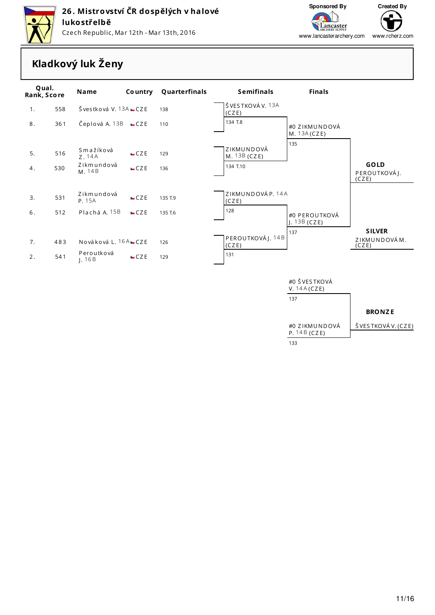

Czech Republic, Mar 12th - Mar 13th, 2016



www.lancasterarchery.com

**Lancaster**<br>ARCHERY SUPPLY

⊆ www.rcherz.com

### **Kladkový luk Ženy**

| Qual.<br>Rank, Score |     | <b>Name</b>                   |     | <b>Country Quarterfinals</b> | <b>Semifinals</b>          | <b>Finals</b>                        |                                        |
|----------------------|-----|-------------------------------|-----|------------------------------|----------------------------|--------------------------------------|----------------------------------------|
| 1.                   | 558 | Švestková V. $13A$ $\Box$ CZE |     | 138                          | ŠVESTKOVÁV. 13A<br>(CZE)   |                                      |                                        |
| 8.                   | 361 | Čeplová A. 13B <b>ECZE</b>    |     | 110                          | 134 T.8                    | #0 ZIKMUNDOVÁ<br>M. $13A(CZE)$       |                                        |
| 5.                   | 516 | Smažíková<br>Z. 14A           | CZE | 129                          | ZIKMUNDOVÁ<br>M. 13B (CZE) | 135                                  |                                        |
| 4.                   | 530 | Zikmundová<br>M. 14B          | CZE | 136                          | 134 T.10                   |                                      | GOLD<br>PEROUTKOVÁJ.<br>(CZE)          |
| 3.                   | 531 | Zikmundová<br>P. 15A          | CZE | 135 T.9                      | ZIKMUNDOVÁP. 14A<br>(CZE)  |                                      |                                        |
| 6.                   | 512 | Plachá A. 15B                 | CZE | 135 T.6                      | 128                        | #0 PEROUTKOVÁ<br>J. $13B(CZE)$       |                                        |
| 7.                   | 483 | Nováková L. 16A ⊑CZE          |     | 126                          | PEROUTKOVÁJ. 14B<br>(CZE)  | 137                                  | <b>SILVER</b><br>ZIKMUNDOVÁM.<br>(CZE) |
| 2.                   | 541 | Peroutková<br>1.16B           | CZE | 129                          | 131                        |                                      |                                        |
|                      |     |                               |     |                              |                            | #0 ŠVESTKOVÁ<br>V. $14A(CZE)$<br>137 |                                        |
|                      |     |                               |     |                              |                            |                                      | <b>BRONZE</b>                          |
|                      |     |                               |     |                              |                            | #0 ZIKMUNDOVÁ<br>P. $14B(CZE)$       | ŠVESTKOVÁV. (CZE)                      |

133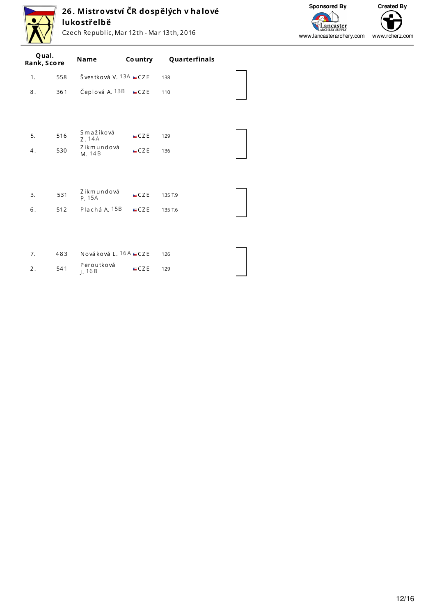

Czech Republic, Mar 12th - Mar 13th, 2016



| Qual.<br>Rank, Score |     | Name                  | Co untry | Quarterfinals |  |
|----------------------|-----|-----------------------|----------|---------------|--|
| 1.                   | 558 | Švestková V. 13A CZE  |          | 138           |  |
| 8.                   | 361 | Čeplová A. 13B        | CZE      | 110           |  |
|                      |     |                       |          |               |  |
|                      |     | Smažíková             |          |               |  |
| 5.                   | 516 | Z. 14A                | CZE      | 129           |  |
| 4.                   | 530 | Zikmundová<br>M. 14B  | CZE      | 136           |  |
|                      |     |                       |          |               |  |
| 3.                   | 531 | Zikmundová            | CZE      | 135 T.9       |  |
|                      |     | P. 15A                |          |               |  |
| 6.                   | 512 | Plachá A. 15B         | CZE      | 135 T.6       |  |
|                      |     |                       |          |               |  |
|                      |     |                       |          |               |  |
| 7.                   | 483 | Nováková L. 16A ■ CZE |          | 126           |  |
| 2.                   | 541 | Peroutková<br>J.16B   | CZE      | 129           |  |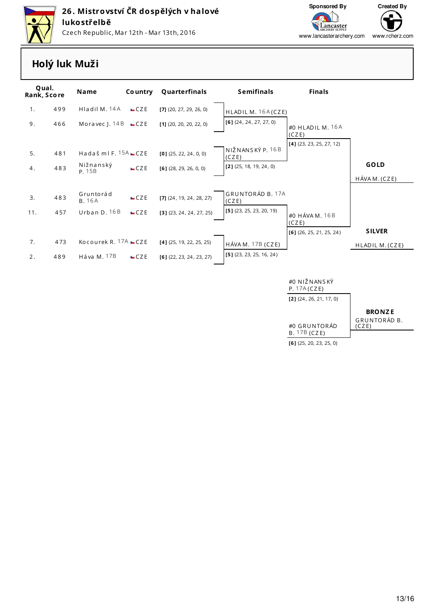



www.lancasterarchery.com www.rcherz.com

### Holý luk Muži

| Qual.<br>Rank, Score |     | <b>Name</b>                         | <b>Country</b> | Quarterfinals              | <b>Semifinals</b>          | <b>Finals</b>              |                 |
|----------------------|-----|-------------------------------------|----------------|----------------------------|----------------------------|----------------------------|-----------------|
| 1.                   | 499 | Hladil M. 14A                       | CZE            | $[7]$ (20, 27, 29, 26, 0)  | HLADIL M. 16A (CZE)        |                            |                 |
| 9.                   | 466 | Moravec J. $14B$ $\blacksquare$ CZE |                | $[1]$ (20, 20, 20, 22, 0)  | $[6]$ (24, 24, 27, 27, 0)  | #0 HLADIL M. 16A<br>(CZE)  |                 |
|                      |     |                                     |                |                            |                            | $[4]$ (23, 23, 25, 27, 12) |                 |
| 5.                   | 481 | Hadaš ml F. $15A$ CZE               |                | $[0]$ (25, 22, 24, 0, 0)   | NIŽNANSKÝ P. 16B<br>(CZE)  |                            |                 |
| 4.                   | 483 | Nižnanský<br>P. 15B                 | CZE            | $[6]$ (28, 29, 26, 0, 0)   | $[2]$ (25, 18, 19, 24, 0)  |                            | <b>GOLD</b>     |
|                      |     |                                     |                |                            |                            |                            | HÁVA M. (CZE)   |
| 3.                   | 483 | Gruntorád<br><b>B.</b> 16A          | CZE            | $[7]$ (24, 19, 24, 28, 27) | GRUNTORÁD B. 17A<br>(CZE)  |                            |                 |
| 11.                  | 457 | Urban D. 16B                        | CZE            | $[3]$ (23, 24, 24, 27, 25) | $[5]$ (23, 25, 23, 20, 19) | #0 HÁVA M, 16 B<br>(CZE)   |                 |
|                      |     |                                     |                |                            |                            | $[6]$ (26, 25, 21, 25, 24) | <b>SILVER</b>   |
| 7.                   | 473 | Kocourek R. $17A$ $CZE$             |                | $[4]$ (25, 19, 22, 25, 25) | $H$ ÁVA M. 17B (CZE)       |                            | HLADIL M. (CZE) |
| 2.                   | 489 | Háva M. 17B                         | CZE            | $[6]$ (22, 23, 24, 23, 27) | $[5]$ (23, 23, 25, 16, 24) |                            |                 |
|                      |     |                                     |                |                            |                            | #0 NIŽNANSKÝ               |                 |
|                      |     |                                     |                |                            |                            | P. 17A(CZE)                |                 |

 $[2]$  (24, 26, 21, 17, 0)

#0 GRUNTORÁD B. 17B (CZE)

**BRONZE** GRUNTORÁD B.<br>(CZE)

 $[6]$  (25, 20, 23, 25, 0)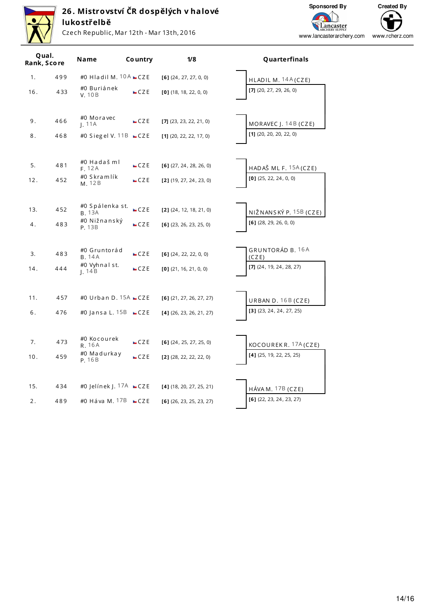

Czech Republic, Mar 12th - Mar 13th, 2016



| Qual.<br>Rank, Score |     | Name                                   | Co untry | 1/8                        |             |
|----------------------|-----|----------------------------------------|----------|----------------------------|-------------|
| 1.                   | 499 | #0 Hladil M. $10A$ $CZE$               |          | $[6]$ (24, 27, 27, 0, 0)   | <b>HLA</b>  |
| 16.                  | 433 | #0 Buriánek<br>V. 10B                  | CZE      | $[0]$ (18, 18, 22, 0, 0)   | [7] (2)     |
| 9.                   | 466 | #0 Moravec<br>1.11A                    | CZE      | $[7]$ (23, 23, 22, 21, 0)  | <b>MOF</b>  |
| 8.                   | 468 | #0 Siegel V. 11B $\blacksquare$ CZE    |          | $[1]$ (20, 22, 22, 17, 0)  | $[1]$ (2    |
| 5.                   | 481 | #0 Hadašml<br>F. 12A                   | CZE      | $[6]$ (27, 24, 28, 26, 0)  | <b>HAD</b>  |
| 12.                  | 452 | #0 Skramlík<br>M. 12B                  | CZE      | $[2]$ (19, 27, 24, 23, 0)  | $[0]$ (2    |
|                      |     |                                        |          |                            |             |
| 13.                  | 452 | #0 Spálenka st.<br><b>B.</b> 13A       | CZE      | $[2]$ (24, 12, 18, 21, 0)  | NIŽI        |
| 4.                   | 483 | #0 Nižnanský<br>P. 13B                 | CZE      | $[6]$ (23, 26, 23, 25, 0)  | $[6]$ (2    |
|                      |     |                                        |          |                            |             |
| 3.                   | 483 | #0 Gruntorád<br><b>B.</b> 14A          | CZE      | $[6]$ (24, 22, 22, 0, 0)   | GRU<br>(CZ) |
| 14.                  | 444 | #0 Vyhnal st.<br>I.14B                 | CZE      | $[0]$ (21, 16, 21, 0, 0)   | $[7]$ (2    |
|                      |     |                                        |          |                            |             |
| 11.                  | 457 | #0 Urban D. $15A$ $CZE$                |          | $[6]$ (21, 27, 26, 27, 27) | URB         |
| 6.                   | 476 | #0 Jansa L. $15B$ $\square$ CZE        |          | $[4]$ (26, 23, 26, 21, 27) | [3] (2)     |
|                      |     |                                        |          |                            |             |
| 7.                   | 473 | #0 Kocourek<br>R. 16A                  | CZE      | $[6]$ (24, 25, 27, 25, 0)  | KOC         |
| 10.                  | 459 | #0 Madurkay<br>P. 16B                  | CZE      | $[2]$ (28, 22, 22, 22, 0)  | $[4]$ (2    |
|                      |     |                                        |          |                            |             |
| 15.                  | 434 | #0 Jelínek J. $17A$ $\blacksquare$ CZE |          | $[4]$ (18, 20, 27, 25, 21) | HÁV,        |
| 2.                   | 489 | #0 Háva M. 17B $\Box$ CZE              |          | $[6]$ (26, 23, 25, 23, 27) | $[6]$ (2    |

#### Quarterfinals

| HLADIL M. $14A(CZE)$                                |
|-----------------------------------------------------|
| [7] $(20, 27, 29, 26, 0)$                           |
|                                                     |
|                                                     |
| MORAVEC J. $14B$ (CZE)<br>$[1]$ (20, 20, 20, 22, 0) |
|                                                     |
|                                                     |
| HADAŠ ML F. 15A (CZE)                               |
| $[0]$ (25, 22, 24, 0, 0)                            |
|                                                     |
|                                                     |
| NIŽNANSKÝ P. 15B (CZE)                              |
| $[6]$ (28, 29, 26, 0, 0)                            |
|                                                     |
| GRUNTORÁD B. 16A                                    |
|                                                     |
| (CZE)<br>[7] $(24, 19, 24, 28, 27)$                 |
|                                                     |
|                                                     |
| URBAN D. 16B (CZE)                                  |
| $[3]$ (23, 24, 24, 27, 25)                          |
|                                                     |
|                                                     |
| KOCOUREKR. 17A (CZE)<br>[4] (25, 19, 22, 25, 25)    |
|                                                     |
|                                                     |
| HÁVA M. <sup>17B</sup> (CZE)                        |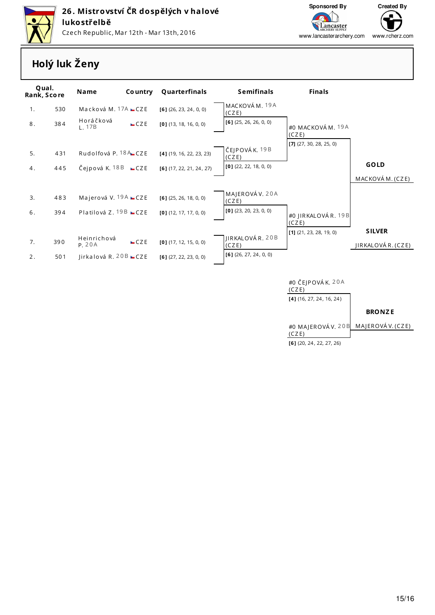



Lancaster<br><sup>ARCHERY SUPPLY</sup> www.lancasterarchery.comwww.rcherz.com

### **Holý luk Ženy**

| Qual.<br>Rank, Score |     | <b>Name</b><br><b>Country</b>                    | Quarterfinals              | <b>Semifinals</b>        | <b>Finals</b>                      |                    |
|----------------------|-----|--------------------------------------------------|----------------------------|--------------------------|------------------------------------|--------------------|
| 1.                   | 530 | Macková M. $17A$ $CZE$                           | $[6]$ (26, 23, 24, 0, 0)   | MACKOVÁM. 19A<br>(CZE)   |                                    |                    |
| 8.                   | 384 | Horáčková<br>CZE<br>1.17B                        | $[0]$ (13, 18, 16, 0, 0)   | $[6]$ (25, 26, 26, 0, 0) | #0 MACKOVÁM. 19A<br>(CZE)          |                    |
| 5.                   | 431 | Rudolfová P. 18A CZE                             | $[4]$ (19, 16, 22, 23, 23) | ČEJPOVÁK. 19B<br>(CZE)   | $[7]$ (27, 30, 28, 25, 0)          |                    |
| 4.                   | 445 | Čejpová K. 18 B $CZE$                            | $[6]$ (17, 22, 21, 24, 27) | $[0]$ (22, 22, 18, 0, 0) |                                    | <b>GOLD</b>        |
|                      |     |                                                  |                            |                          |                                    | MACKOVÁ M. (CZE)   |
| 3.                   | 483 | Majerová V. 19 $A$ $\sqsubseteq$ CZE             | $[6]$ (25, 26, 18, 0, 0)   | MAJEROVÁ V. 20A<br>(CZE) |                                    |                    |
| 6.                   | 394 | Platilová Z. 19B $CZE$                           | $[0]$ (12, 17, 17, 0, 0)   | $[0]$ (23, 20, 23, 0, 0) | #0 JIRKALOVÁR. 19B                 |                    |
|                      |     |                                                  |                            |                          | (CZE)<br>$[1]$ (21, 23, 28, 19, 0) | <b>SILVER</b>      |
| 7.                   | 390 | Heinrichová<br>CZE<br>P. 20A                     | $[0]$ (17, 12, 15, 0, 0)   | JIRKALOVÁR. 20B<br>(CZE) |                                    | JIRKALOVÁ R. (CZE) |
| 2.                   | 501 | $\textsf{Iirkalová R. 20B} \subset \textsf{CZE}$ | $[6]$ (27, 22, 23, 0, 0)   | $[6]$ (26, 27, 24, 0, 0) |                                    |                    |
|                      |     |                                                  |                            |                          | #0 ČEJPOVÁK. $20A$                 |                    |